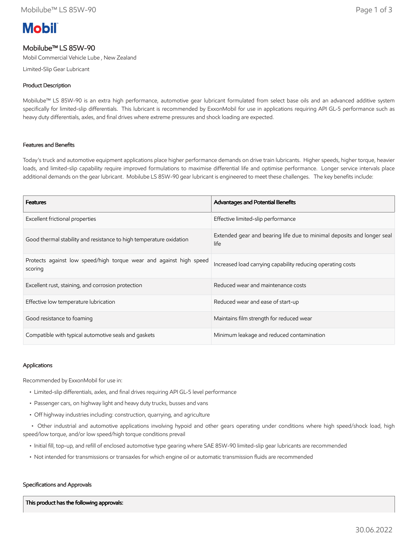# **Mobil**

# Mobilube™ LS 85W-90

Mobil Commercial Vehicle Lube , New Zealand

Limited-Slip Gear Lubricant

# Product Description

Mobilube™ LS 85W-90 is an extra high performance, automotive gear lubricant formulated from select base oils and an advanced additive system specifically for limited-slip differentials. This lubricant is recommended by ExxonMobil for use in applications requiring API GL-5 performance such as heavy duty differentials, axles, and final drives where extreme pressures and shock loading are expected.

### Features and Benefits

Today's truck and automotive equipment applications place higher performance demands on drive train lubricants. Higher speeds, higher torque, heavier loads, and limited-slip capability require improved formulations to maximise differential life and optimise performance. Longer service intervals place additional demands on the gear lubricant. Mobilube LS 85W-90 gear lubricant is engineered to meet these challenges. The key benefits include:

| <b>Features</b>                                                               | Advantages and Potential Benefits                                              |
|-------------------------------------------------------------------------------|--------------------------------------------------------------------------------|
| Excellent frictional properties                                               | Effective limited-slip performance                                             |
| Good thermal stability and resistance to high temperature oxidation           | Extended gear and bearing life due to minimal deposits and longer seal<br>life |
| Protects against low speed/high torque wear and against high speed<br>scoring | Increased load carrying capability reducing operating costs                    |
| Excellent rust, staining, and corrosion protection                            | Reduced wear and maintenance costs                                             |
| Effective low temperature lubrication                                         | Reduced wear and ease of start-up                                              |
| Good resistance to foaming                                                    | Maintains film strength for reduced wear                                       |
| Compatible with typical automotive seals and gaskets                          | Minimum leakage and reduced contamination                                      |

## Applications

Recommended by ExxonMobil for use in:

- Limited-slip differentials, axles, and final drives requiring API GL-5 level performance
- Passenger cars, on highway light and heavy duty trucks, busses and vans
- Off highway industries including: construction, quarrying, and agriculture

 • Other industrial and automotive applications involving hypoid and other gears operating under conditions where high speed/shock load, high speed/low torque, and/or low speed/high torque conditions prevail

- Initial fill, top-up, and refill of enclosed automotive type gearing where SAE 85W-90 limited-slip gear lubricants are recommended
- Not intended for transmissions or transaxles for which engine oil or automatic transmission fluids are recommended

#### Specifications and Approvals

This product has the following approvals: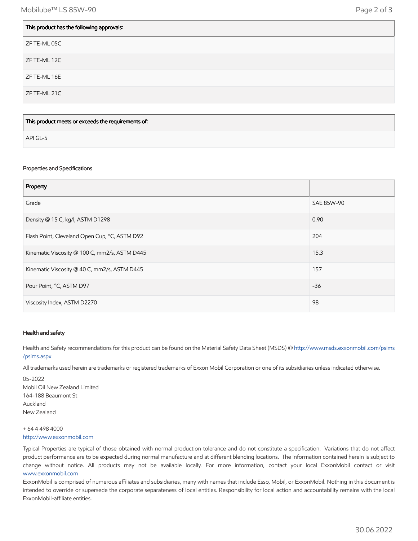| This product has the following approvals: |
|-------------------------------------------|
| ZF TE-ML 05C                              |
| ZF TE-ML 12C                              |
| ZF TE-ML 16E                              |
| ZF TE-ML 21C                              |
|                                           |

| This product meets or exceeds the requirements of: |  |
|----------------------------------------------------|--|
| API GL-5                                           |  |

#### Properties and Specifications

| Property                                      |            |
|-----------------------------------------------|------------|
| Grade                                         | SAE 85W-90 |
| Density @ 15 C, kg/l, ASTM D1298              | 0.90       |
| Flash Point, Cleveland Open Cup, °C, ASTM D92 | 204        |
| Kinematic Viscosity @ 100 C, mm2/s, ASTM D445 | 15.3       |
| Kinematic Viscosity @ 40 C, mm2/s, ASTM D445  | 157        |
| Pour Point, °C, ASTM D97                      | $-36$      |
| Viscosity Index, ASTM D2270                   | 98         |

#### Health and safety

Health and Safety recommendations for this product can be found on the Material Safety Data Sheet (MSDS) @ [http://www.msds.exxonmobil.com/psims](http://www.msds.exxonmobil.com/psims/psims.aspx) /psims.aspx

All trademarks used herein are trademarks or registered trademarks of Exxon Mobil Corporation or one of its subsidiaries unless indicated otherwise.

05-2022 Mobil Oil New Zealand Limited 164-188 Beaumont St Auckland New Zealand

### + 64 4 498 4000 [http://www.exxonmobil.com](http://www.exxonmobil.com/)

Typical Properties are typical of those obtained with normal production tolerance and do not constitute a specification. Variations that do not affect product performance are to be expected during normal manufacture and at different blending locations. The information contained herein is subject to change without notice. All products may not be available locally. For more information, contact your local ExxonMobil contact or visit [www.exxonmobil.com](http://www.exxonmobil.com/)

ExxonMobil is comprised of numerous affiliates and subsidiaries, many with names that include Esso, Mobil, or ExxonMobil. Nothing in this document is intended to override or supersede the corporate separateness of local entities. Responsibility for local action and accountability remains with the local ExxonMobil-affiliate entities.